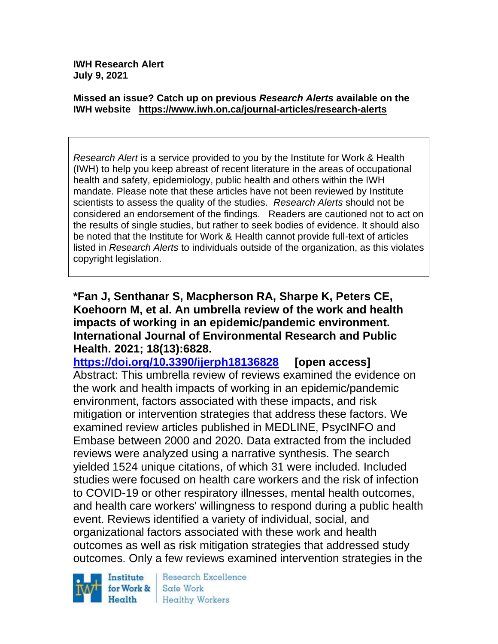**IWH Research Alert July 9, 2021**

#### **Missed an issue? Catch up on previous** *Research Alerts* **available on the [IWH website](http://www.iwh.on.ca/research-alerts) <https://www.iwh.on.ca/journal-articles/research-alerts>**

*Research Alert* is a service provided to you by the Institute for Work & Health (IWH) to help you keep abreast of recent literature in the areas of occupational health and safety, epidemiology, public health and others within the IWH mandate. Please note that these articles have not been reviewed by Institute scientists to assess the quality of the studies. *Research Alerts* should not be considered an endorsement of the findings. Readers are cautioned not to act on the results of single studies, but rather to seek bodies of evidence. It should also be noted that the Institute for Work & Health cannot provide full-text of articles listed in *Research Alerts* to individuals outside of the organization, as this violates copyright legislation.

**\*Fan J, Senthanar S, Macpherson RA, Sharpe K, Peters CE, Koehoorn M, et al. An umbrella review of the work and health impacts of working in an epidemic/pandemic environment. International Journal of Environmental Research and Public Health. 2021; 18(13):6828.**

**<https://doi.org/10.3390/ijerph18136828> [open access]** Abstract: This umbrella review of reviews examined the evidence on the work and health impacts of working in an epidemic/pandemic environment, factors associated with these impacts, and risk mitigation or intervention strategies that address these factors. We examined review articles published in MEDLINE, PsycINFO and Embase between 2000 and 2020. Data extracted from the included reviews were analyzed using a narrative synthesis. The search yielded 1524 unique citations, of which 31 were included. Included studies were focused on health care workers and the risk of infection to COVID-19 or other respiratory illnesses, mental health outcomes, and health care workers' willingness to respond during a public health event. Reviews identified a variety of individual, social, and organizational factors associated with these work and health outcomes as well as risk mitigation strategies that addressed study outcomes. Only a few reviews examined intervention strategies in the



**Research Excellence** Safe Work Healthy Workers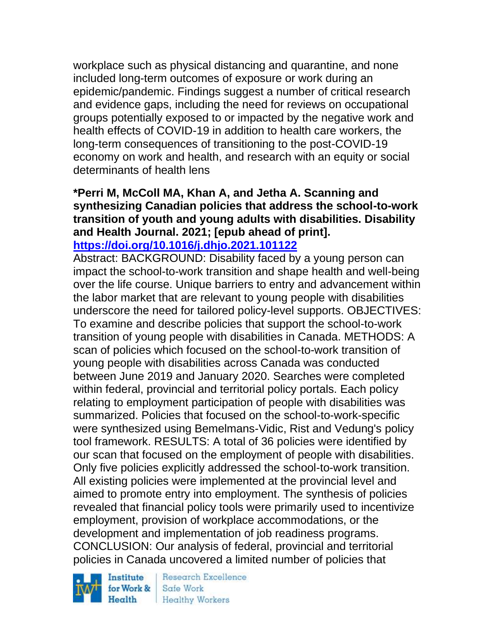workplace such as physical distancing and quarantine, and none included long-term outcomes of exposure or work during an epidemic/pandemic. Findings suggest a number of critical research and evidence gaps, including the need for reviews on occupational groups potentially exposed to or impacted by the negative work and health effects of COVID-19 in addition to health care workers, the long-term consequences of transitioning to the post-COVID-19 economy on work and health, and research with an equity or social determinants of health lens

#### **\*Perri M, McColl MA, Khan A, and Jetha A. Scanning and synthesizing Canadian policies that address the school-to-work transition of youth and young adults with disabilities. Disability and Health Journal. 2021; [epub ahead of print]. <https://doi.org/10.1016/j.dhjo.2021.101122>**

Abstract: BACKGROUND: Disability faced by a young person can impact the school-to-work transition and shape health and well-being over the life course. Unique barriers to entry and advancement within the labor market that are relevant to young people with disabilities underscore the need for tailored policy-level supports. OBJECTIVES: To examine and describe policies that support the school-to-work transition of young people with disabilities in Canada. METHODS: A scan of policies which focused on the school-to-work transition of young people with disabilities across Canada was conducted between June 2019 and January 2020. Searches were completed within federal, provincial and territorial policy portals. Each policy relating to employment participation of people with disabilities was summarized. Policies that focused on the school-to-work-specific were synthesized using Bemelmans-Vidic, Rist and Vedung's policy tool framework. RESULTS: A total of 36 policies were identified by our scan that focused on the employment of people with disabilities. Only five policies explicitly addressed the school-to-work transition. All existing policies were implemented at the provincial level and aimed to promote entry into employment. The synthesis of policies revealed that financial policy tools were primarily used to incentivize employment, provision of workplace accommodations, or the development and implementation of job readiness programs. CONCLUSION: Our analysis of federal, provincial and territorial policies in Canada uncovered a limited number of policies that

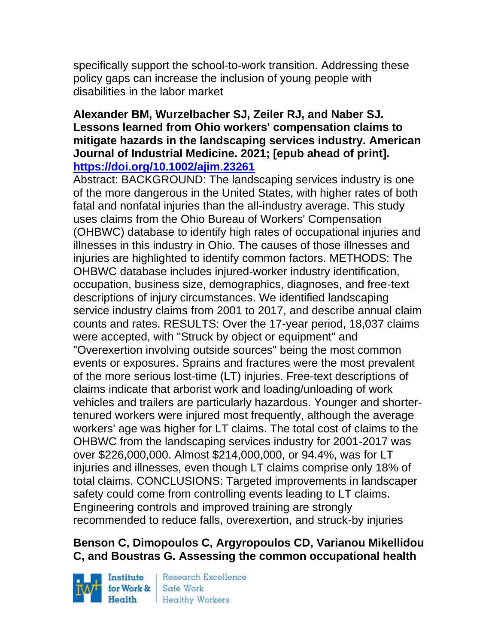specifically support the school-to-work transition. Addressing these policy gaps can increase the inclusion of young people with disabilities in the labor market

#### **Alexander BM, Wurzelbacher SJ, Zeiler RJ, and Naber SJ. Lessons learned from Ohio workers' compensation claims to mitigate hazards in the landscaping services industry. American Journal of Industrial Medicine. 2021; [epub ahead of print]. <https://doi.org/10.1002/ajim.23261>**

Abstract: BACKGROUND: The landscaping services industry is one of the more dangerous in the United States, with higher rates of both fatal and nonfatal injuries than the all-industry average. This study uses claims from the Ohio Bureau of Workers' Compensation (OHBWC) database to identify high rates of occupational injuries and illnesses in this industry in Ohio. The causes of those illnesses and injuries are highlighted to identify common factors. METHODS: The OHBWC database includes injured-worker industry identification, occupation, business size, demographics, diagnoses, and free-text descriptions of injury circumstances. We identified landscaping service industry claims from 2001 to 2017, and describe annual claim counts and rates. RESULTS: Over the 17-year period, 18,037 claims were accepted, with "Struck by object or equipment" and "Overexertion involving outside sources" being the most common events or exposures. Sprains and fractures were the most prevalent of the more serious lost-time (LT) injuries. Free-text descriptions of claims indicate that arborist work and loading/unloading of work vehicles and trailers are particularly hazardous. Younger and shortertenured workers were injured most frequently, although the average workers' age was higher for LT claims. The total cost of claims to the OHBWC from the landscaping services industry for 2001-2017 was over \$226,000,000. Almost \$214,000,000, or 94.4%, was for LT injuries and illnesses, even though LT claims comprise only 18% of total claims. CONCLUSIONS: Targeted improvements in landscaper safety could come from controlling events leading to LT claims. Engineering controls and improved training are strongly recommended to reduce falls, overexertion, and struck-by injuries

## **Benson C, Dimopoulos C, Argyropoulos CD, Varianou Mikellidou C, and Boustras G. Assessing the common occupational health**

Institute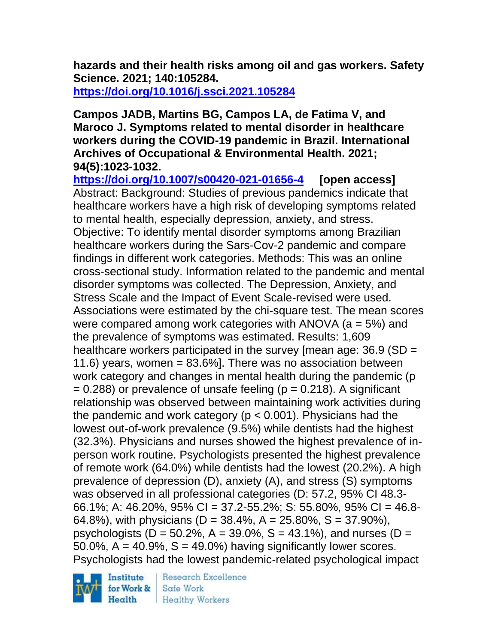**hazards and their health risks among oil and gas workers. Safety Science. 2021; 140:105284. <https://doi.org/10.1016/j.ssci.2021.105284>** 

#### **Campos JADB, Martins BG, Campos LA, de Fatima V, and Maroco J. Symptoms related to mental disorder in healthcare workers during the COVID-19 pandemic in Brazil. International Archives of Occupational & Environmental Health. 2021; 94(5):1023-1032.**

**<https://doi.org/10.1007/s00420-021-01656-4> [open access]** Abstract: Background: Studies of previous pandemics indicate that healthcare workers have a high risk of developing symptoms related to mental health, especially depression, anxiety, and stress. Objective: To identify mental disorder symptoms among Brazilian healthcare workers during the Sars-Cov-2 pandemic and compare findings in different work categories. Methods: This was an online cross-sectional study. Information related to the pandemic and mental disorder symptoms was collected. The Depression, Anxiety, and Stress Scale and the Impact of Event Scale-revised were used. Associations were estimated by the chi-square test. The mean scores were compared among work categories with ANOVA (a = 5%) and the prevalence of symptoms was estimated. Results: 1,609 healthcare workers participated in the survey [mean age: 36.9 (SD = 11.6) years, women  $= 83.6\%$ . There was no association between work category and changes in mental health during the pandemic (p  $= 0.288$ ) or prevalence of unsafe feeling (p  $= 0.218$ ). A significant relationship was observed between maintaining work activities during the pandemic and work category ( $p < 0.001$ ). Physicians had the lowest out-of-work prevalence (9.5%) while dentists had the highest (32.3%). Physicians and nurses showed the highest prevalence of inperson work routine. Psychologists presented the highest prevalence of remote work (64.0%) while dentists had the lowest (20.2%). A high prevalence of depression (D), anxiety (A), and stress (S) symptoms was observed in all professional categories (D: 57.2, 95% CI 48.3- 66.1%; A: 46.20%, 95% CI = 37.2-55.2%; S: 55.80%, 95% CI = 46.8- 64.8%), with physicians ( $D = 38.4$ %,  $A = 25.80$ %,  $S = 37.90$ %), psychologists ( $D = 50.2\%$ ,  $A = 39.0\%$ ,  $S = 43.1\%$ ), and nurses ( $D =$ 50.0%,  $A = 40.9\%$ ,  $S = 49.0\%$  having significantly lower scores. Psychologists had the lowest pandemic-related psychological impact



Research Excellence Safe Work **Healthy Workers**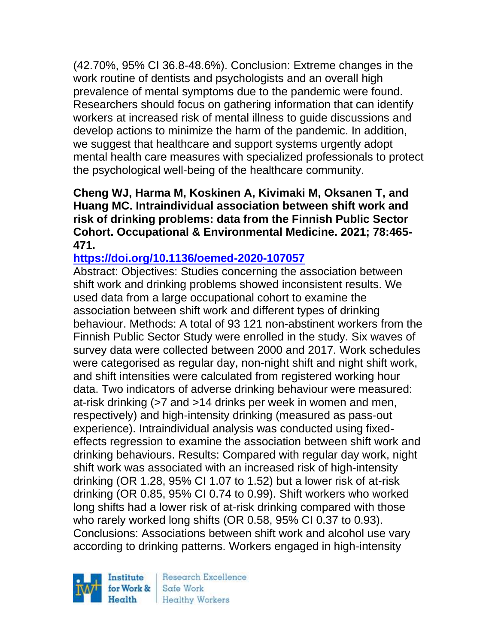(42.70%, 95% CI 36.8-48.6%). Conclusion: Extreme changes in the work routine of dentists and psychologists and an overall high prevalence of mental symptoms due to the pandemic were found. Researchers should focus on gathering information that can identify workers at increased risk of mental illness to guide discussions and develop actions to minimize the harm of the pandemic. In addition, we suggest that healthcare and support systems urgently adopt mental health care measures with specialized professionals to protect the psychological well-being of the healthcare community.

**Cheng WJ, Harma M, Koskinen A, Kivimaki M, Oksanen T, and Huang MC. Intraindividual association between shift work and risk of drinking problems: data from the Finnish Public Sector Cohort. Occupational & Environmental Medicine. 2021; 78:465- 471.** 

## **<https://doi.org/10.1136/oemed-2020-107057>**

Abstract: Objectives: Studies concerning the association between shift work and drinking problems showed inconsistent results. We used data from a large occupational cohort to examine the association between shift work and different types of drinking behaviour. Methods: A total of 93 121 non-abstinent workers from the Finnish Public Sector Study were enrolled in the study. Six waves of survey data were collected between 2000 and 2017. Work schedules were categorised as regular day, non-night shift and night shift work, and shift intensities were calculated from registered working hour data. Two indicators of adverse drinking behaviour were measured: at-risk drinking (>7 and >14 drinks per week in women and men, respectively) and high-intensity drinking (measured as pass-out experience). Intraindividual analysis was conducted using fixedeffects regression to examine the association between shift work and drinking behaviours. Results: Compared with regular day work, night shift work was associated with an increased risk of high-intensity drinking (OR 1.28, 95% CI 1.07 to 1.52) but a lower risk of at-risk drinking (OR 0.85, 95% CI 0.74 to 0.99). Shift workers who worked long shifts had a lower risk of at-risk drinking compared with those who rarely worked long shifts (OR 0.58, 95% CI 0.37 to 0.93). Conclusions: Associations between shift work and alcohol use vary according to drinking patterns. Workers engaged in high-intensity

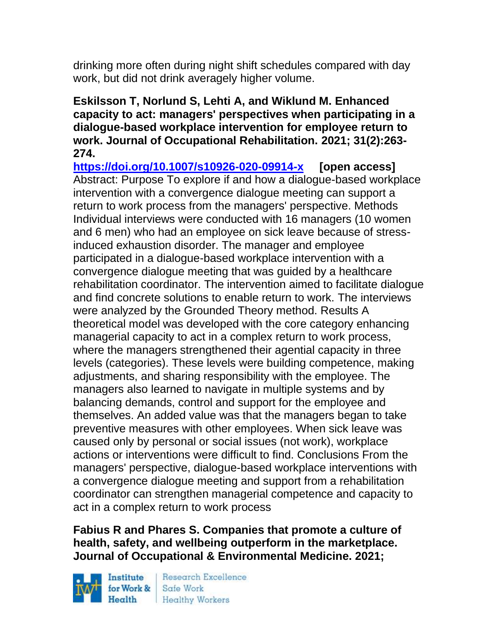drinking more often during night shift schedules compared with day work, but did not drink averagely higher volume.

### **Eskilsson T, Norlund S, Lehti A, and Wiklund M. Enhanced capacity to act: managers' perspectives when participating in a dialogue-based workplace intervention for employee return to work. Journal of Occupational Rehabilitation. 2021; 31(2):263- 274.**

**<https://doi.org/10.1007/s10926-020-09914-x> [open access]** Abstract: Purpose To explore if and how a dialogue-based workplace intervention with a convergence dialogue meeting can support a return to work process from the managers' perspective. Methods Individual interviews were conducted with 16 managers (10 women and 6 men) who had an employee on sick leave because of stressinduced exhaustion disorder. The manager and employee participated in a dialogue-based workplace intervention with a convergence dialogue meeting that was guided by a healthcare rehabilitation coordinator. The intervention aimed to facilitate dialogue and find concrete solutions to enable return to work. The interviews were analyzed by the Grounded Theory method. Results A theoretical model was developed with the core category enhancing managerial capacity to act in a complex return to work process, where the managers strengthened their agential capacity in three levels (categories). These levels were building competence, making adjustments, and sharing responsibility with the employee. The managers also learned to navigate in multiple systems and by balancing demands, control and support for the employee and themselves. An added value was that the managers began to take preventive measures with other employees. When sick leave was caused only by personal or social issues (not work), workplace actions or interventions were difficult to find. Conclusions From the managers' perspective, dialogue-based workplace interventions with a convergence dialogue meeting and support from a rehabilitation coordinator can strengthen managerial competence and capacity to act in a complex return to work process

## **Fabius R and Phares S. Companies that promote a culture of health, safety, and wellbeing outperform in the marketplace. Journal of Occupational & Environmental Medicine. 2021;**

Institute Health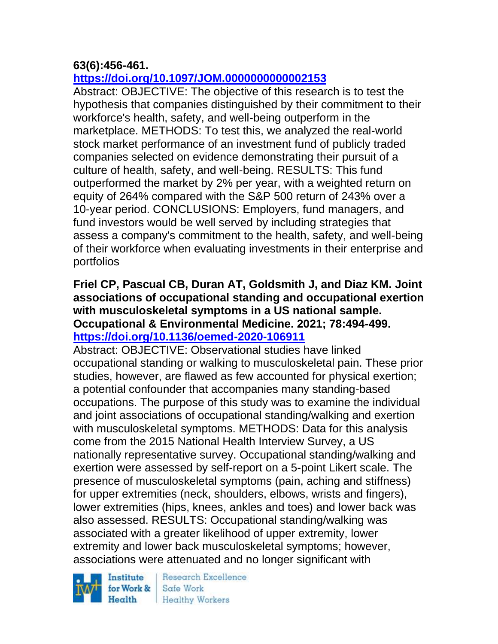## **63(6):456-461.**

## **<https://doi.org/10.1097/JOM.0000000000002153>**

Abstract: OBJECTIVE: The objective of this research is to test the hypothesis that companies distinguished by their commitment to their workforce's health, safety, and well-being outperform in the marketplace. METHODS: To test this, we analyzed the real-world stock market performance of an investment fund of publicly traded companies selected on evidence demonstrating their pursuit of a culture of health, safety, and well-being. RESULTS: This fund outperformed the market by 2% per year, with a weighted return on equity of 264% compared with the S&P 500 return of 243% over a 10-year period. CONCLUSIONS: Employers, fund managers, and fund investors would be well served by including strategies that assess a company's commitment to the health, safety, and well-being of their workforce when evaluating investments in their enterprise and portfolios

### **Friel CP, Pascual CB, Duran AT, Goldsmith J, and Diaz KM. Joint associations of occupational standing and occupational exertion with musculoskeletal symptoms in a US national sample. Occupational & Environmental Medicine. 2021; 78:494-499. <https://doi.org/10.1136/oemed-2020-106911>**

Abstract: OBJECTIVE: Observational studies have linked occupational standing or walking to musculoskeletal pain. These prior studies, however, are flawed as few accounted for physical exertion; a potential confounder that accompanies many standing-based occupations. The purpose of this study was to examine the individual and joint associations of occupational standing/walking and exertion with musculoskeletal symptoms. METHODS: Data for this analysis come from the 2015 National Health Interview Survey, a US nationally representative survey. Occupational standing/walking and exertion were assessed by self-report on a 5-point Likert scale. The presence of musculoskeletal symptoms (pain, aching and stiffness) for upper extremities (neck, shoulders, elbows, wrists and fingers), lower extremities (hips, knees, ankles and toes) and lower back was also assessed. RESULTS: Occupational standing/walking was associated with a greater likelihood of upper extremity, lower extremity and lower back musculoskeletal symptoms; however, associations were attenuated and no longer significant with

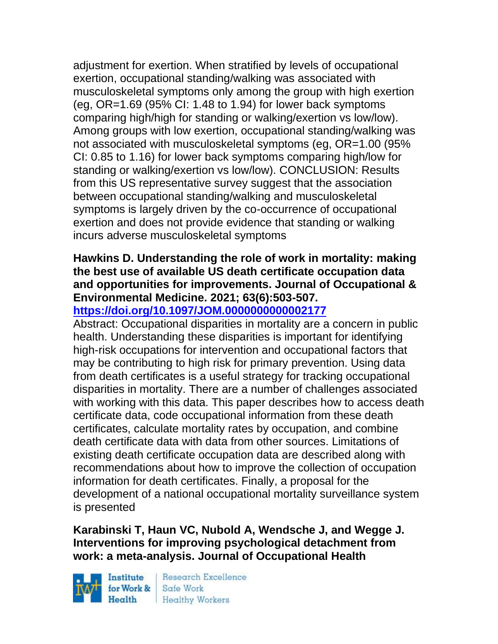adjustment for exertion. When stratified by levels of occupational exertion, occupational standing/walking was associated with musculoskeletal symptoms only among the group with high exertion (eq.  $OR=1.69$  (95% CI: 1.48 to 1.94) for lower back symptoms comparing high/high for standing or walking/exertion vs low/low). Among groups with low exertion, occupational standing/walking was not associated with musculoskeletal symptoms (eg, OR=1.00 (95% CI: 0.85 to 1.16) for lower back symptoms comparing high/low for standing or walking/exertion vs low/low). CONCLUSION: Results from this US representative survey suggest that the association between occupational standing/walking and musculoskeletal symptoms is largely driven by the co-occurrence of occupational exertion and does not provide evidence that standing or walking incurs adverse musculoskeletal symptoms

## **Hawkins D. Understanding the role of work in mortality: making the best use of available US death certificate occupation data and opportunities for improvements. Journal of Occupational & Environmental Medicine. 2021; 63(6):503-507.**

## **<https://doi.org/10.1097/JOM.0000000000002177>**

Abstract: Occupational disparities in mortality are a concern in public health. Understanding these disparities is important for identifying high-risk occupations for intervention and occupational factors that may be contributing to high risk for primary prevention. Using data from death certificates is a useful strategy for tracking occupational disparities in mortality. There are a number of challenges associated with working with this data. This paper describes how to access death certificate data, code occupational information from these death certificates, calculate mortality rates by occupation, and combine death certificate data with data from other sources. Limitations of existing death certificate occupation data are described along with recommendations about how to improve the collection of occupation information for death certificates. Finally, a proposal for the development of a national occupational mortality surveillance system is presented

## **Karabinski T, Haun VC, Nubold A, Wendsche J, and Wegge J. Interventions for improving psychological detachment from work: a meta-analysis. Journal of Occupational Health**

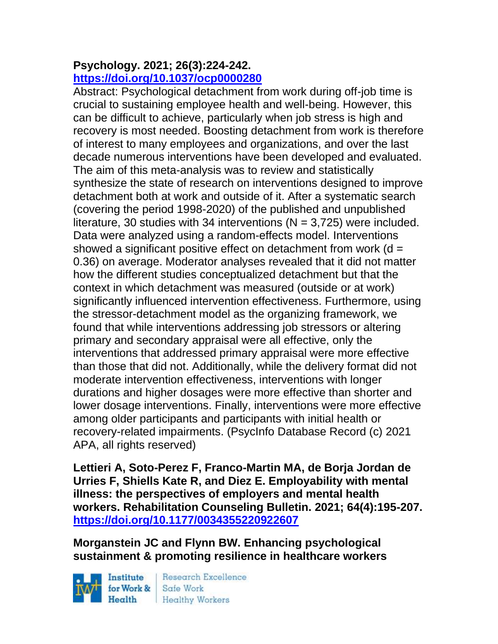#### **Psychology. 2021; 26(3):224-242. <https://doi.org/10.1037/ocp0000280>**

Abstract: Psychological detachment from work during off-job time is crucial to sustaining employee health and well-being. However, this can be difficult to achieve, particularly when job stress is high and recovery is most needed. Boosting detachment from work is therefore of interest to many employees and organizations, and over the last decade numerous interventions have been developed and evaluated. The aim of this meta-analysis was to review and statistically synthesize the state of research on interventions designed to improve detachment both at work and outside of it. After a systematic search (covering the period 1998-2020) of the published and unpublished literature, 30 studies with 34 interventions ( $N = 3,725$ ) were included. Data were analyzed using a random-effects model. Interventions showed a significant positive effect on detachment from work  $(d =$ 0.36) on average. Moderator analyses revealed that it did not matter how the different studies conceptualized detachment but that the context in which detachment was measured (outside or at work) significantly influenced intervention effectiveness. Furthermore, using the stressor-detachment model as the organizing framework, we found that while interventions addressing job stressors or altering primary and secondary appraisal were all effective, only the interventions that addressed primary appraisal were more effective than those that did not. Additionally, while the delivery format did not moderate intervention effectiveness, interventions with longer durations and higher dosages were more effective than shorter and lower dosage interventions. Finally, interventions were more effective among older participants and participants with initial health or recovery-related impairments. (PsycInfo Database Record (c) 2021 APA, all rights reserved)

**Lettieri A, Soto-Perez F, Franco-Martin MA, de Borja Jordan de Urries F, Shiells Kate R, and Diez E. Employability with mental illness: the perspectives of employers and mental health workers. Rehabilitation Counseling Bulletin. 2021; 64(4):195-207. <https://doi.org/10.1177/0034355220922607>** 

**Morganstein JC and Flynn BW. Enhancing psychological sustainment & promoting resilience in healthcare workers** 

Institute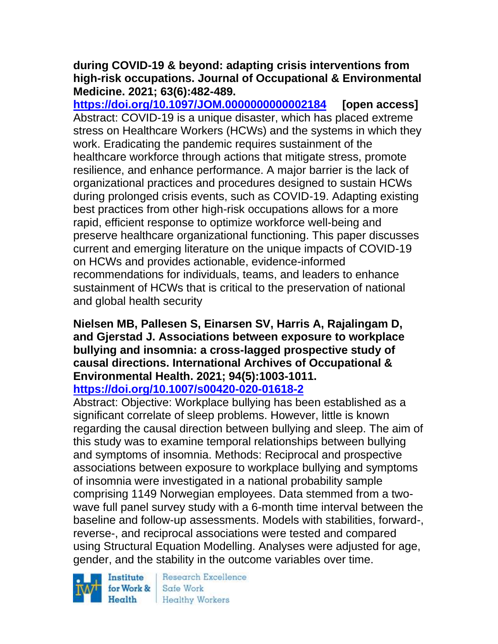#### **during COVID-19 & beyond: adapting crisis interventions from high-risk occupations. Journal of Occupational & Environmental Medicine. 2021; 63(6):482-489.**

**<https://doi.org/10.1097/JOM.0000000000002184> [open access]** Abstract: COVID-19 is a unique disaster, which has placed extreme stress on Healthcare Workers (HCWs) and the systems in which they work. Eradicating the pandemic requires sustainment of the healthcare workforce through actions that mitigate stress, promote resilience, and enhance performance. A major barrier is the lack of organizational practices and procedures designed to sustain HCWs during prolonged crisis events, such as COVID-19. Adapting existing best practices from other high-risk occupations allows for a more rapid, efficient response to optimize workforce well-being and preserve healthcare organizational functioning. This paper discusses current and emerging literature on the unique impacts of COVID-19 on HCWs and provides actionable, evidence-informed recommendations for individuals, teams, and leaders to enhance sustainment of HCWs that is critical to the preservation of national and global health security

# **Nielsen MB, Pallesen S, Einarsen SV, Harris A, Rajalingam D, and Gjerstad J. Associations between exposure to workplace bullying and insomnia: a cross-lagged prospective study of causal directions. International Archives of Occupational & Environmental Health. 2021; 94(5):1003-1011.**

## **<https://doi.org/10.1007/s00420-020-01618-2>**

Abstract: Objective: Workplace bullying has been established as a significant correlate of sleep problems. However, little is known regarding the causal direction between bullying and sleep. The aim of this study was to examine temporal relationships between bullying and symptoms of insomnia. Methods: Reciprocal and prospective associations between exposure to workplace bullying and symptoms of insomnia were investigated in a national probability sample comprising 1149 Norwegian employees. Data stemmed from a twowave full panel survey study with a 6-month time interval between the baseline and follow-up assessments. Models with stabilities, forward-, reverse-, and reciprocal associations were tested and compared using Structural Equation Modelling. Analyses were adjusted for age, gender, and the stability in the outcome variables over time.

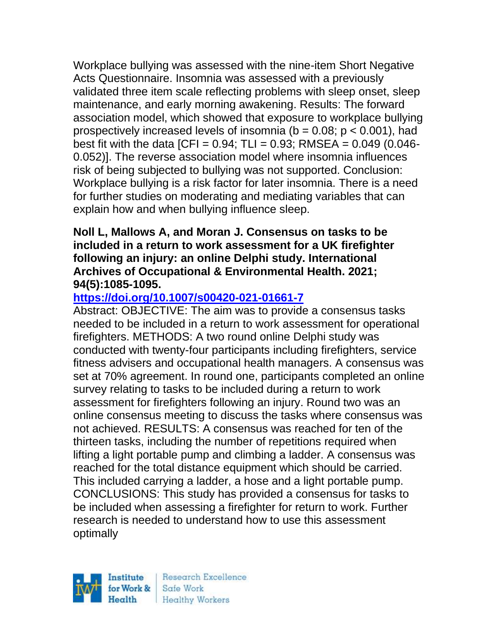Workplace bullying was assessed with the nine-item Short Negative Acts Questionnaire. Insomnia was assessed with a previously validated three item scale reflecting problems with sleep onset, sleep maintenance, and early morning awakening. Results: The forward association model, which showed that exposure to workplace bullying prospectively increased levels of insomnia ( $b = 0.08$ ;  $p < 0.001$ ), had best fit with the data  $[CFI = 0.94; TLI = 0.93; RMSEA = 0.049 (0.046-1.049)$ 0.052)]. The reverse association model where insomnia influences risk of being subjected to bullying was not supported. Conclusion: Workplace bullying is a risk factor for later insomnia. There is a need for further studies on moderating and mediating variables that can explain how and when bullying influence sleep.

#### **Noll L, Mallows A, and Moran J. Consensus on tasks to be included in a return to work assessment for a UK firefighter following an injury: an online Delphi study. International Archives of Occupational & Environmental Health. 2021; 94(5):1085-1095.**

# **<https://doi.org/10.1007/s00420-021-01661-7>**

Abstract: OBJECTIVE: The aim was to provide a consensus tasks needed to be included in a return to work assessment for operational firefighters. METHODS: A two round online Delphi study was conducted with twenty-four participants including firefighters, service fitness advisers and occupational health managers. A consensus was set at 70% agreement. In round one, participants completed an online survey relating to tasks to be included during a return to work assessment for firefighters following an injury. Round two was an online consensus meeting to discuss the tasks where consensus was not achieved. RESULTS: A consensus was reached for ten of the thirteen tasks, including the number of repetitions required when lifting a light portable pump and climbing a ladder. A consensus was reached for the total distance equipment which should be carried. This included carrying a ladder, a hose and a light portable pump. CONCLUSIONS: This study has provided a consensus for tasks to be included when assessing a firefighter for return to work. Further research is needed to understand how to use this assessment optimally

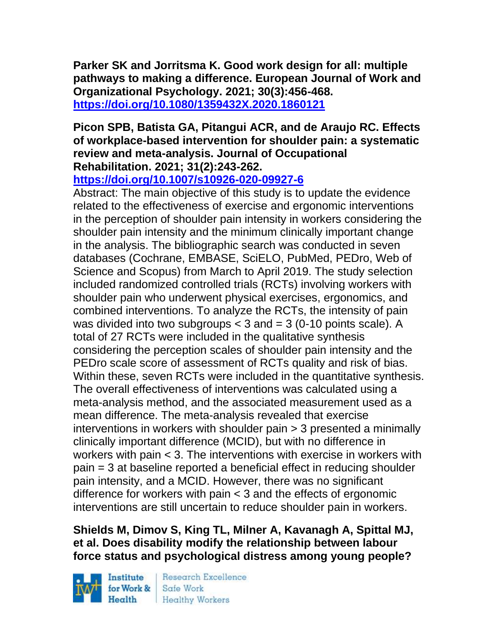**Parker SK and Jorritsma K. Good work design for all: multiple pathways to making a difference. European Journal of Work and Organizational Psychology. 2021; 30(3):456-468. <https://doi.org/10.1080/1359432X.2020.1860121>** 

## **Picon SPB, Batista GA, Pitangui ACR, and de Araujo RC. Effects of workplace-based intervention for shoulder pain: a systematic review and meta-analysis. Journal of Occupational Rehabilitation. 2021; 31(2):243-262.**

**<https://doi.org/10.1007/s10926-020-09927-6>** 

Abstract: The main objective of this study is to update the evidence related to the effectiveness of exercise and ergonomic interventions in the perception of shoulder pain intensity in workers considering the shoulder pain intensity and the minimum clinically important change in the analysis. The bibliographic search was conducted in seven databases (Cochrane, EMBASE, SciELO, PubMed, PEDro, Web of Science and Scopus) from March to April 2019. The study selection included randomized controlled trials (RCTs) involving workers with shoulder pain who underwent physical exercises, ergonomics, and combined interventions. To analyze the RCTs, the intensity of pain was divided into two subgroups  $<$  3 and  $=$  3 (0-10 points scale). A total of 27 RCTs were included in the qualitative synthesis considering the perception scales of shoulder pain intensity and the PEDro scale score of assessment of RCTs quality and risk of bias. Within these, seven RCTs were included in the quantitative synthesis. The overall effectiveness of interventions was calculated using a meta-analysis method, and the associated measurement used as a mean difference. The meta-analysis revealed that exercise interventions in workers with shoulder pain > 3 presented a minimally clinically important difference (MCID), but with no difference in workers with pain < 3. The interventions with exercise in workers with pain = 3 at baseline reported a beneficial effect in reducing shoulder pain intensity, and a MCID. However, there was no significant difference for workers with pain < 3 and the effects of ergonomic interventions are still uncertain to reduce shoulder pain in workers.

## **Shields M, Dimov S, King TL, Milner A, Kavanagh A, Spittal MJ, et al. Does disability modify the relationship between labour force status and psychological distress among young people?**

Institute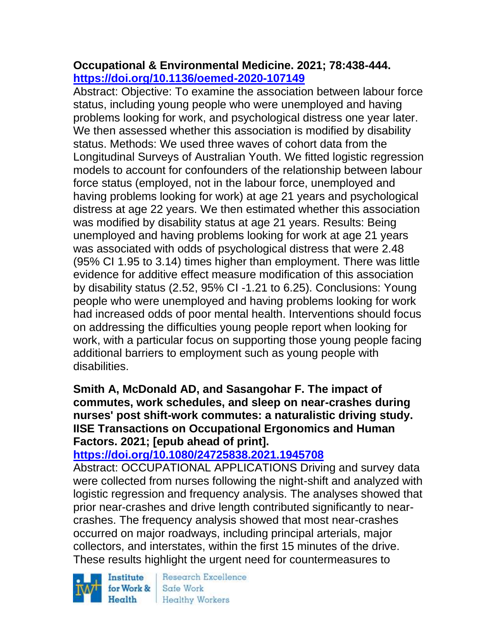## **Occupational & Environmental Medicine. 2021; 78:438-444. <https://doi.org/10.1136/oemed-2020-107149>**

Abstract: Objective: To examine the association between labour force status, including young people who were unemployed and having problems looking for work, and psychological distress one year later. We then assessed whether this association is modified by disability status. Methods: We used three waves of cohort data from the Longitudinal Surveys of Australian Youth. We fitted logistic regression models to account for confounders of the relationship between labour force status (employed, not in the labour force, unemployed and having problems looking for work) at age 21 years and psychological distress at age 22 years. We then estimated whether this association was modified by disability status at age 21 years. Results: Being unemployed and having problems looking for work at age 21 years was associated with odds of psychological distress that were 2.48 (95% CI 1.95 to 3.14) times higher than employment. There was little evidence for additive effect measure modification of this association by disability status (2.52, 95% CI -1.21 to 6.25). Conclusions: Young people who were unemployed and having problems looking for work had increased odds of poor mental health. Interventions should focus on addressing the difficulties young people report when looking for work, with a particular focus on supporting those young people facing additional barriers to employment such as young people with disabilities.

### **Smith A, McDonald AD, and Sasangohar F. The impact of commutes, work schedules, and sleep on near-crashes during nurses' post shift-work commutes: a naturalistic driving study. IISE Transactions on Occupational Ergonomics and Human Factors. 2021; [epub ahead of print].**

# **<https://doi.org/10.1080/24725838.2021.1945708>**

Abstract: OCCUPATIONAL APPLICATIONS Driving and survey data were collected from nurses following the night-shift and analyzed with logistic regression and frequency analysis. The analyses showed that prior near-crashes and drive length contributed significantly to nearcrashes. The frequency analysis showed that most near-crashes occurred on major roadways, including principal arterials, major collectors, and interstates, within the first 15 minutes of the drive. These results highlight the urgent need for countermeasures to

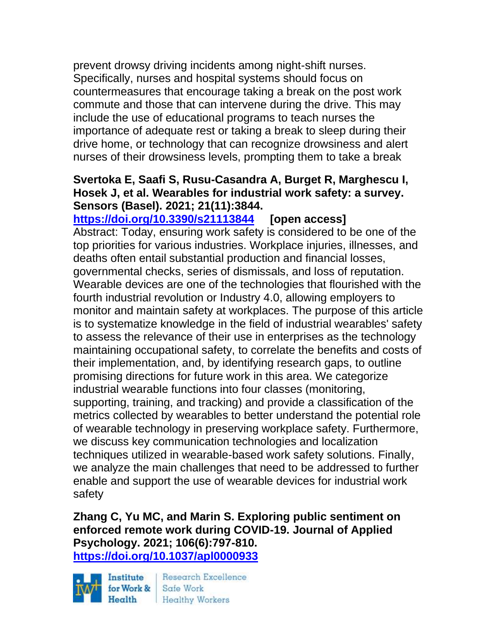prevent drowsy driving incidents among night-shift nurses. Specifically, nurses and hospital systems should focus on countermeasures that encourage taking a break on the post work commute and those that can intervene during the drive. This may include the use of educational programs to teach nurses the importance of adequate rest or taking a break to sleep during their drive home, or technology that can recognize drowsiness and alert nurses of their drowsiness levels, prompting them to take a break

### **Svertoka E, Saafi S, Rusu-Casandra A, Burget R, Marghescu I, Hosek J, et al. Wearables for industrial work safety: a survey. Sensors (Basel). 2021; 21(11):3844.**

**<https://doi.org/10.3390/s21113844> [open access]** Abstract: Today, ensuring work safety is considered to be one of the top priorities for various industries. Workplace injuries, illnesses, and deaths often entail substantial production and financial losses, governmental checks, series of dismissals, and loss of reputation. Wearable devices are one of the technologies that flourished with the fourth industrial revolution or Industry 4.0, allowing employers to monitor and maintain safety at workplaces. The purpose of this article is to systematize knowledge in the field of industrial wearables' safety to assess the relevance of their use in enterprises as the technology maintaining occupational safety, to correlate the benefits and costs of their implementation, and, by identifying research gaps, to outline promising directions for future work in this area. We categorize industrial wearable functions into four classes (monitoring, supporting, training, and tracking) and provide a classification of the metrics collected by wearables to better understand the potential role of wearable technology in preserving workplace safety. Furthermore, we discuss key communication technologies and localization techniques utilized in wearable-based work safety solutions. Finally, we analyze the main challenges that need to be addressed to further enable and support the use of wearable devices for industrial work safety

**Zhang C, Yu MC, and Marin S. Exploring public sentiment on enforced remote work during COVID-19. Journal of Applied Psychology. 2021; 106(6):797-810. <https://doi.org/10.1037/apl0000933>** 

Institute Health